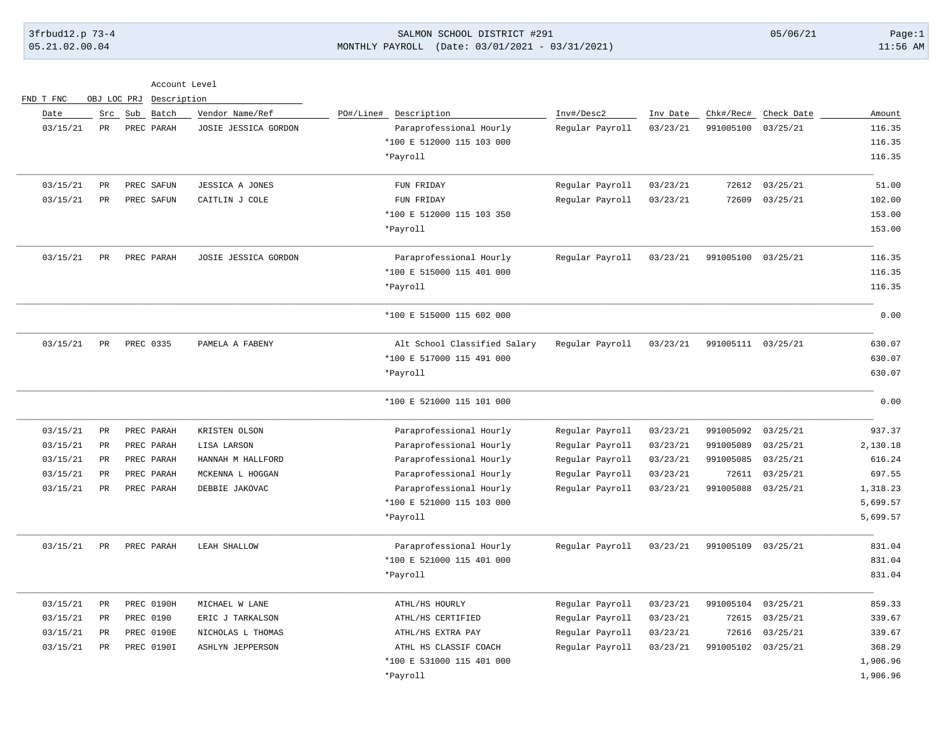FND T FNC OBJ LOC PRJ Description

## 3frbud12.p 73-4 SALMON SCHOOL DISTRICT #291 05/06/21 Page:1 05.21.02.00.04 MONTHLY PAYROLL (Date: 03/01/2021 - 03/31/2021) 11:56 AM

| Account Level |  |
|---------------|--|
|               |  |

| Date<br>03/15/21 | Src<br>PR   | Sub<br>Batch<br>PREC PARAH | Vendor Name/Ref<br>JOSIE JESSICA GORDON | PO#/Line# Description<br>Paraprofessional Hourly<br>*100 E 512000 115 103 000<br>*Payroll | Inv#/Desc2<br>Regular Payroll | Inv Date<br>03/23/21 | Chk#/Rec#<br>991005100 | Check Date<br>03/25/21 | Amount<br>116.35<br>116.35<br>116.35 |
|------------------|-------------|----------------------------|-----------------------------------------|-------------------------------------------------------------------------------------------|-------------------------------|----------------------|------------------------|------------------------|--------------------------------------|
| 03/15/21         | PR          | PREC SAFUN                 | JESSICA A JONES                         | FUN FRIDAY                                                                                | Regular Payroll               | 03/23/21             | 72612                  | 03/25/21               | 51.00                                |
| 03/15/21         | PR          | PREC SAFUN                 | CAITLIN J COLE                          | FUN FRIDAY                                                                                | Regular Payroll               | 03/23/21             | 72609                  | 03/25/21               | 102.00                               |
|                  |             |                            |                                         | *100 E 512000 115 103 350                                                                 |                               |                      |                        |                        | 153.00                               |
|                  |             |                            |                                         | *Payroll                                                                                  |                               |                      |                        |                        | 153.00                               |
| 03/15/21         | PR          | PREC PARAH                 | JOSIE JESSICA GORDON                    | Paraprofessional Hourly                                                                   | Regular Payroll               | 03/23/21             | 991005100 03/25/21     |                        | 116.35                               |
|                  |             |                            |                                         | *100 E 515000 115 401 000                                                                 |                               |                      |                        |                        | 116.35                               |
|                  |             |                            |                                         | *Payroll                                                                                  |                               |                      |                        |                        | 116.35                               |
|                  |             |                            |                                         | *100 E 515000 115 602 000                                                                 |                               |                      |                        |                        | 0.00                                 |
| 03/15/21         | PR          | PREC 0335                  | PAMELA A FABENY                         | Alt School Classified Salary                                                              | Regular Payroll               | 03/23/21             | 991005111 03/25/21     |                        | 630.07                               |
|                  |             |                            |                                         | *100 E 517000 115 491 000                                                                 |                               |                      |                        |                        | 630.07                               |
|                  |             |                            |                                         | *Payroll                                                                                  |                               |                      |                        |                        | 630.07                               |
|                  |             |                            |                                         | *100 E 521000 115 101 000                                                                 |                               |                      |                        |                        | 0.00                                 |
| 03/15/21         | PR          | PREC PARAH                 | KRISTEN OLSON                           | Paraprofessional Hourly                                                                   | Regular Payroll               | 03/23/21             | 991005092 03/25/21     |                        | 937.37                               |
| 03/15/21         | PR          | PREC PARAH                 | LISA LARSON                             | Paraprofessional Hourly                                                                   | Regular Payroll               | 03/23/21             | 991005089              | 03/25/21               | 2,130.18                             |
| 03/15/21         | PR          | PREC PARAH                 | HANNAH M HALLFORD                       | Paraprofessional Hourly                                                                   | Regular Payroll               | 03/23/21             | 991005085              | 03/25/21               | 616.24                               |
| 03/15/21         | PR          | PREC PARAH                 | MCKENNA L HOGGAN                        | Paraprofessional Hourly                                                                   | Regular Payroll               | 03/23/21             | 72611                  | 03/25/21               | 697.55                               |
| 03/15/21         | PR          | PREC PARAH                 | DEBBIE JAKOVAC                          | Paraprofessional Hourly                                                                   | Regular Payroll               | 03/23/21             | 991005088              | 03/25/21               | 1,318.23                             |
|                  |             |                            |                                         | *100 E 521000 115 103 000                                                                 |                               |                      |                        |                        | 5,699.57                             |
|                  |             |                            |                                         | *Payroll                                                                                  |                               |                      |                        |                        | 5,699.57                             |
| 03/15/21         | PR          | PREC PARAH                 | LEAH SHALLOW                            | Paraprofessional Hourly                                                                   | Regular Payroll               | 03/23/21             | 991005109 03/25/21     |                        | 831.04                               |
|                  |             |                            |                                         | *100 E 521000 115 401 000                                                                 |                               |                      |                        |                        | 831.04                               |
|                  |             |                            |                                         | *Payroll                                                                                  |                               |                      |                        |                        | 831.04                               |
| 03/15/21         | $_{\rm PR}$ | <b>PREC 0190H</b>          | MICHAEL W LANE                          | ATHL/HS HOURLY                                                                            | Regular Payroll               | 03/23/21             | 991005104              | 03/25/21               | 859.33                               |
| 03/15/21         | PR          | PREC 0190                  | ERIC J TARKALSON                        | ATHL/HS CERTIFIED                                                                         | Regular Payroll               | 03/23/21             | 72615                  | 03/25/21               | 339.67                               |
| 03/15/21         | PR          | PREC 0190E                 | NICHOLAS L THOMAS                       | ATHL/HS EXTRA PAY                                                                         | Regular Payroll               | 03/23/21             | 72616                  | 03/25/21               | 339.67                               |
| 03/15/21         | PR          | PREC 0190I                 | ASHLYN JEPPERSON                        | ATHL HS CLASSIF COACH                                                                     | Regular Payroll               | 03/23/21             | 991005102 03/25/21     |                        | 368.29                               |
|                  |             |                            |                                         | *100 E 531000 115 401 000                                                                 |                               |                      |                        |                        | 1,906.96                             |
|                  |             |                            |                                         | *Payroll                                                                                  |                               |                      |                        |                        | 1,906.96                             |
|                  |             |                            |                                         |                                                                                           |                               |                      |                        |                        |                                      |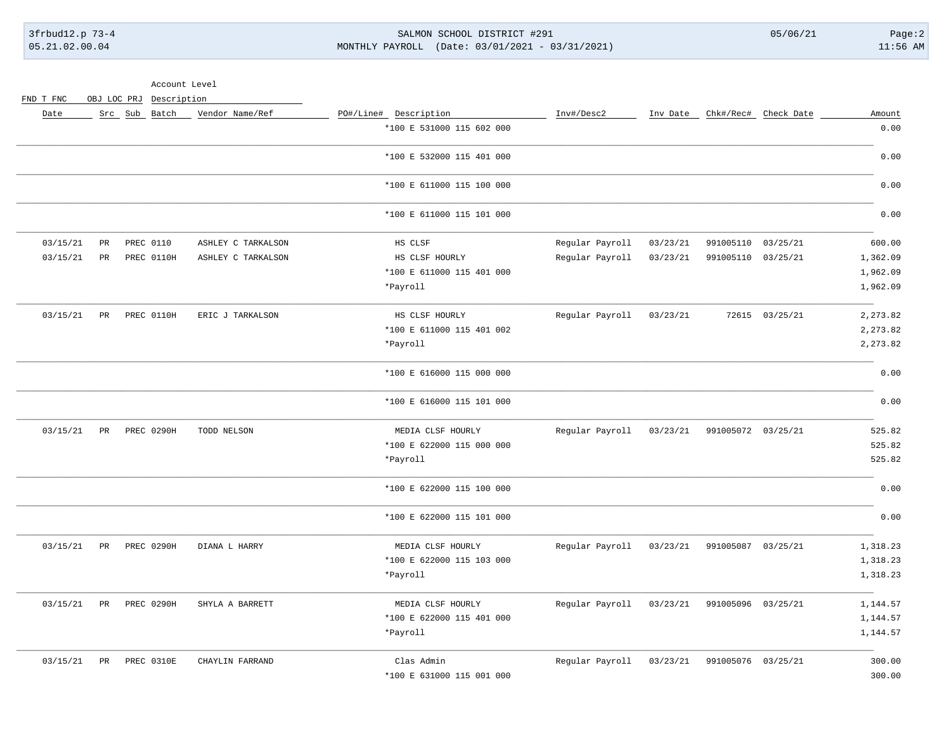3frbud12.p 73-4 SALMON SCHOOL DISTRICT #291 05/06/21 Page:2 05.21.02.00.04 MONTHLY PAYROLL (Date: 03/01/2021 - 03/31/2021) 11:56 AM

Account Level

FND T FNC OBJ LOC PRJ Description

| Amount   | Chk#/Rec# Check Date |                    | Inv Date | Inv#/Desc2      | PO#/Line# Description     | Vendor Name/Ref    | Src Sub Batch |                 | Date     |
|----------|----------------------|--------------------|----------|-----------------|---------------------------|--------------------|---------------|-----------------|----------|
| 0.00     |                      |                    |          |                 | *100 E 531000 115 602 000 |                    |               |                 |          |
| 0.00     |                      |                    |          |                 | *100 E 532000 115 401 000 |                    |               |                 |          |
| 0.00     |                      |                    |          |                 | *100 E 611000 115 100 000 |                    |               |                 |          |
| 0.00     |                      |                    |          |                 | *100 E 611000 115 101 000 |                    |               |                 |          |
| 600.00   | 03/25/21             | 991005110          | 03/23/21 | Regular Payroll | HS CLSF                   | ASHLEY C TARKALSON | PREC 0110     | $\mbox{\sf PR}$ | 03/15/21 |
| 1,362.09 | 03/25/21             | 991005110          | 03/23/21 | Regular Payroll | HS CLSF HOURLY            | ASHLEY C TARKALSON | PREC 0110H    | $_{\rm PR}$     | 03/15/21 |
| 1,962.09 |                      |                    |          |                 | *100 E 611000 115 401 000 |                    |               |                 |          |
| 1,962.09 |                      |                    |          |                 | *Payroll                  |                    |               |                 |          |
| 2,273.82 | 72615 03/25/21       |                    | 03/23/21 | Regular Payroll | HS CLSF HOURLY            | ERIC J TARKALSON   | PREC 0110H    | PR              | 03/15/21 |
| 2,273.82 |                      |                    |          |                 | *100 E 611000 115 401 002 |                    |               |                 |          |
| 2,273.82 |                      |                    |          |                 | *Payroll                  |                    |               |                 |          |
| 0.00     |                      |                    |          |                 | *100 E 616000 115 000 000 |                    |               |                 |          |
| 0.00     |                      |                    |          |                 | *100 E 616000 115 101 000 |                    |               |                 |          |
| 525.82   |                      | 991005072 03/25/21 | 03/23/21 | Regular Payroll | MEDIA CLSF HOURLY         | TODD NELSON        | PREC 0290H    | PR              | 03/15/21 |
| 525.82   |                      |                    |          |                 | *100 E 622000 115 000 000 |                    |               |                 |          |
| 525.82   |                      |                    |          |                 | *Payroll                  |                    |               |                 |          |
| 0.00     |                      |                    |          |                 | *100 E 622000 115 100 000 |                    |               |                 |          |
| 0.00     |                      |                    |          |                 | *100 E 622000 115 101 000 |                    |               |                 |          |
| 1,318.23 |                      | 991005087 03/25/21 | 03/23/21 | Regular Payroll | MEDIA CLSF HOURLY         | DIANA L HARRY      | PREC 0290H    | PR              | 03/15/21 |
| 1,318.23 |                      |                    |          |                 | *100 E 622000 115 103 000 |                    |               |                 |          |
| 1,318.23 |                      |                    |          |                 | *Payroll                  |                    |               |                 |          |
| 1,144.57 |                      | 991005096 03/25/21 | 03/23/21 | Regular Payroll | MEDIA CLSF HOURLY         | SHYLA A BARRETT    | PREC 0290H    | PR              | 03/15/21 |
| 1,144.57 |                      |                    |          |                 | *100 E 622000 115 401 000 |                    |               |                 |          |
| 1,144.57 |                      |                    |          |                 | *Payroll                  |                    |               |                 |          |
| 300.00   | 03/25/21             | 991005076          | 03/23/21 | Regular Payroll | Clas Admin                | CHAYLIN FARRAND    | PREC 0310E    | PR              | 03/15/21 |
| 300.00   |                      |                    |          |                 | *100 E 631000 115 001 000 |                    |               |                 |          |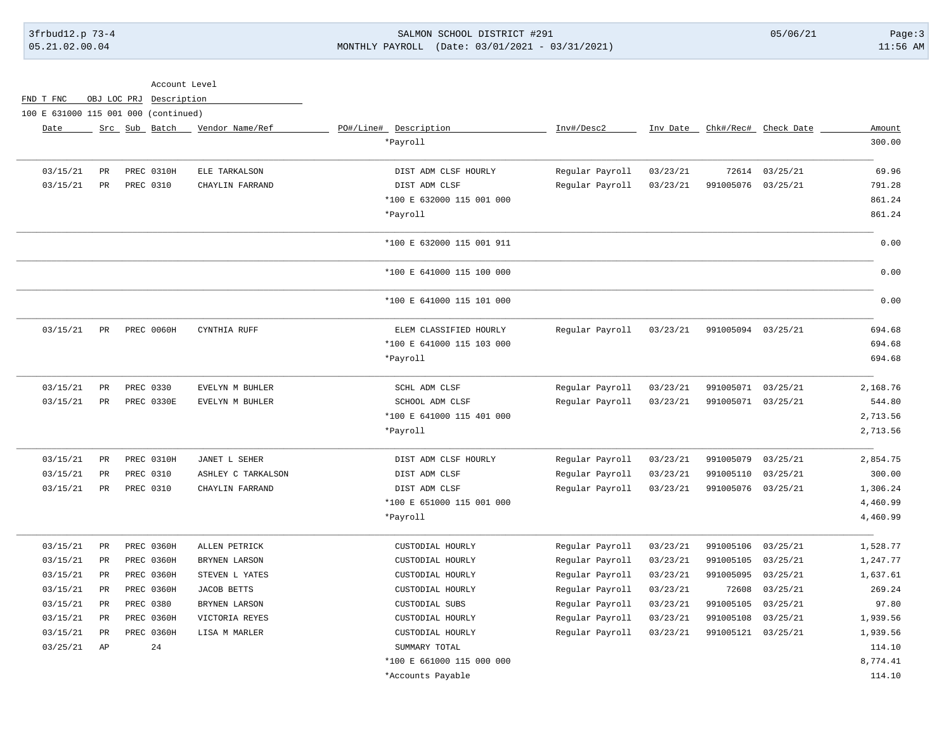## 3frbud12.p 73-4 SALMON SCHOOL DISTRICT #291 05/06/21 Page:3 05.21.02.00.04 MONTHLY PAYROLL (Date: 03/01/2021 - 03/31/2021) 11:56 AM

|                                      |                 |               | Account Level     |                    |                           |                 |          |                    |                      |          |
|--------------------------------------|-----------------|---------------|-------------------|--------------------|---------------------------|-----------------|----------|--------------------|----------------------|----------|
| FND T FNC                            | OBJ LOC PRJ     |               | Description       |                    |                           |                 |          |                    |                      |          |
| 100 E 631000 115 001 000 (continued) |                 |               |                   |                    |                           |                 |          |                    |                      |          |
| Date                                 |                 | Src Sub Batch |                   | Vendor Name/Ref    | PO#/Line# Description     | Inv#/Desc2      | Inv Date |                    | Chk#/Rec# Check Date | Amount   |
|                                      |                 |               |                   |                    | *Payroll                  |                 |          |                    |                      | 300.00   |
| 03/15/21                             | $_{\rm PR}$     |               | PREC 0310H        | ELE TARKALSON      | DIST ADM CLSF HOURLY      | Regular Payroll | 03/23/21 | 72614              | 03/25/21             | 69.96    |
| 03/15/21                             | PR              | PREC 0310     |                   | CHAYLIN FARRAND    | DIST ADM CLSF             | Regular Payroll | 03/23/21 | 991005076          | 03/25/21             | 791.28   |
|                                      |                 |               |                   |                    | *100 E 632000 115 001 000 |                 |          |                    |                      | 861.24   |
|                                      |                 |               |                   |                    | *Payroll                  |                 |          |                    |                      | 861.24   |
|                                      |                 |               |                   |                    | *100 E 632000 115 001 911 |                 |          |                    |                      | 0.00     |
|                                      |                 |               |                   |                    | *100 E 641000 115 100 000 |                 |          |                    |                      | 0.00     |
|                                      |                 |               |                   |                    | *100 E 641000 115 101 000 |                 |          |                    |                      | 0.00     |
| 03/15/21                             | PR              |               | PREC 0060H        | CYNTHIA RUFF       | ELEM CLASSIFIED HOURLY    | Regular Payroll | 03/23/21 | 991005094 03/25/21 |                      | 694.68   |
|                                      |                 |               |                   |                    | *100 E 641000 115 103 000 |                 |          |                    |                      | 694.68   |
|                                      |                 |               |                   |                    | *Payroll                  |                 |          |                    |                      | 694.68   |
| 03/15/21                             | $\mbox{\sf PR}$ | PREC 0330     |                   | EVELYN M BUHLER    | SCHL ADM CLSF             | Regular Payroll | 03/23/21 | 991005071          | 03/25/21             | 2,168.76 |
| 03/15/21                             | PR              |               | PREC 0330E        | EVELYN M BUHLER    | SCHOOL ADM CLSF           | Regular Payroll | 03/23/21 | 991005071 03/25/21 |                      | 544.80   |
|                                      |                 |               |                   |                    | *100 E 641000 115 401 000 |                 |          |                    |                      | 2,713.56 |
|                                      |                 |               |                   |                    | *Payroll                  |                 |          |                    |                      | 2,713.56 |
| 03/15/21                             | PR              |               | PREC 0310H        | JANET L SEHER      | DIST ADM CLSF HOURLY      | Regular Payroll | 03/23/21 | 991005079          | 03/25/21             | 2,854.75 |
| 03/15/21                             | $_{\rm PR}$     | PREC 0310     |                   | ASHLEY C TARKALSON | DIST ADM CLSF             | Regular Payroll | 03/23/21 | 991005110          | 03/25/21             | 300.00   |
| 03/15/21                             | PR              | PREC 0310     |                   | CHAYLIN FARRAND    | DIST ADM CLSF             | Regular Payroll | 03/23/21 | 991005076          | 03/25/21             | 1,306.24 |
|                                      |                 |               |                   |                    | *100 E 651000 115 001 000 |                 |          |                    |                      | 4,460.99 |
|                                      |                 |               |                   |                    | *Payroll                  |                 |          |                    |                      | 4,460.99 |
| 03/15/21                             | $_{\rm PR}$     |               | PREC 0360H        | ALLEN PETRICK      | CUSTODIAL HOURLY          | Regular Payroll | 03/23/21 | 991005106          | 03/25/21             | 1,528.77 |
| 03/15/21                             | $_{\rm PR}$     |               | <b>PREC 0360H</b> | BRYNEN LARSON      | CUSTODIAL HOURLY          | Regular Payroll | 03/23/21 | 991005105          | 03/25/21             | 1,247.77 |
| 03/15/21                             | $_{\rm PR}$     |               | <b>PREC 0360H</b> | STEVEN L YATES     | CUSTODIAL HOURLY          | Regular Payroll | 03/23/21 | 991005095          | 03/25/21             | 1,637.61 |
| 03/15/21                             | $_{\rm PR}$     |               | PREC 0360H        | <b>JACOB BETTS</b> | CUSTODIAL HOURLY          | Regular Payroll | 03/23/21 | 72608              | 03/25/21             | 269.24   |
| 03/15/21                             | $_{\rm PR}$     | PREC 0380     |                   | BRYNEN LARSON      | CUSTODIAL SUBS            | Regular Payroll | 03/23/21 | 991005105          | 03/25/21             | 97.80    |
| 03/15/21                             | $_{\rm PR}$     |               | <b>PREC 0360H</b> | VICTORIA REYES     | CUSTODIAL HOURLY          | Regular Payroll | 03/23/21 | 991005108          | 03/25/21             | 1,939.56 |
| 03/15/21                             | PR              |               | <b>PREC 0360H</b> | LISA M MARLER      | CUSTODIAL HOURLY          | Regular Payroll | 03/23/21 | 991005121 03/25/21 |                      | 1,939.56 |
| 03/25/21                             | AP              |               | 24                |                    | SUMMARY TOTAL             |                 |          |                    |                      | 114.10   |
|                                      |                 |               |                   |                    | *100 E 661000 115 000 000 |                 |          |                    |                      | 8,774.41 |
|                                      |                 |               |                   |                    | *Accounts Payable         |                 |          |                    |                      | 114.10   |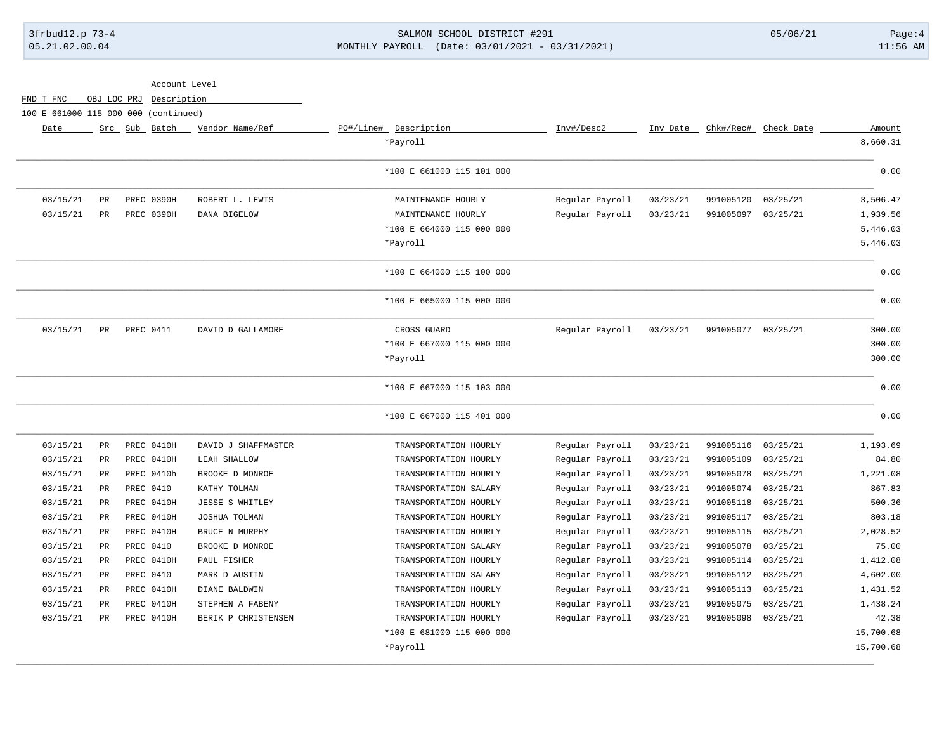# 3frbud12.p 73-4 SALMON SCHOOL DISTRICT #291 05/06/21 Page:4 05.21.02.00.04 MONTHLY PAYROLL (Date: 03/01/2021 - 03/31/2021) 11:56 AM

|           |            |                    |          |                 |                           | Account Level          |               |             |           |                                      |
|-----------|------------|--------------------|----------|-----------------|---------------------------|------------------------|---------------|-------------|-----------|--------------------------------------|
|           |            |                    |          |                 |                           |                        | Description   | OBJ LOC PRJ |           | FND T FNC                            |
|           |            |                    |          |                 |                           |                        |               |             |           | 100 E 661000 115 000 000 (continued) |
| Amount    | Check Date | Chk#/Rec#          | Inv Date | Inv#/Desc2      | PO#/Line# Description     | Vendor Name/Ref        | Src Sub Batch |             |           | Date                                 |
| 8,660.31  |            |                    |          |                 | *Payroll                  |                        |               |             |           |                                      |
| 0.00      |            |                    |          |                 | *100 E 661000 115 101 000 |                        |               |             |           |                                      |
| 3,506.47  | 03/25/21   | 991005120          | 03/23/21 | Regular Payroll | MAINTENANCE HOURLY        | ROBERT L. LEWIS        | PREC 0390H    |             | <b>PR</b> | 03/15/21                             |
| 1,939.56  | 03/25/21   | 991005097          | 03/23/21 | Regular Payroll | MAINTENANCE HOURLY        | DANA BIGELOW           | PREC 0390H    |             | PR        | 03/15/21                             |
| 5,446.03  |            |                    |          |                 | *100 E 664000 115 000 000 |                        |               |             |           |                                      |
| 5,446.03  |            |                    |          |                 | *Payroll                  |                        |               |             |           |                                      |
| 0.00      |            |                    |          |                 | *100 E 664000 115 100 000 |                        |               |             |           |                                      |
| 0.00      |            |                    |          |                 | *100 E 665000 115 000 000 |                        |               |             |           |                                      |
| 300.00    |            | 991005077 03/25/21 | 03/23/21 | Regular Payroll | CROSS GUARD               | DAVID D GALLAMORE      | PREC 0411     |             | PR        | 03/15/21                             |
| 300.00    |            |                    |          |                 | *100 E 667000 115 000 000 |                        |               |             |           |                                      |
| 300.00    |            |                    |          |                 | *Payroll                  |                        |               |             |           |                                      |
| 0.00      |            |                    |          |                 | *100 E 667000 115 103 000 |                        |               |             |           |                                      |
| 0.00      |            |                    |          |                 | *100 E 667000 115 401 000 |                        |               |             |           |                                      |
| 1,193.69  | 03/25/21   | 991005116          | 03/23/21 | Regular Payroll | TRANSPORTATION HOURLY     | DAVID J SHAFFMASTER    | PREC 0410H    |             | PR        | 03/15/21                             |
| 84.80     | 03/25/21   | 991005109          | 03/23/21 | Regular Payroll | TRANSPORTATION HOURLY     | LEAH SHALLOW           | PREC 0410H    |             | PR        | 03/15/21                             |
| 1,221.08  | 03/25/21   | 991005078          | 03/23/21 | Regular Payroll | TRANSPORTATION HOURLY     | BROOKE D MONROE        | PREC 0410h    |             | <b>PR</b> | 03/15/21                             |
| 867.83    | 03/25/21   | 991005074          | 03/23/21 | Regular Payroll | TRANSPORTATION SALARY     | KATHY TOLMAN           | PREC 0410     |             | PR        | 03/15/21                             |
| 500.36    | 03/25/21   | 991005118          | 03/23/21 | Regular Payroll | TRANSPORTATION HOURLY     | <b>JESSE S WHITLEY</b> | PREC 0410H    |             | PR        | 03/15/21                             |
| 803.18    | 03/25/21   | 991005117          | 03/23/21 | Regular Payroll | TRANSPORTATION HOURLY     | JOSHUA TOLMAN          | PREC 0410H    |             | <b>PR</b> | 03/15/21                             |
| 2,028.52  | 03/25/21   | 991005115          | 03/23/21 | Regular Payroll | TRANSPORTATION HOURLY     | BRUCE N MURPHY         | PREC 0410H    |             | PR        | 03/15/21                             |
| 75.00     | 03/25/21   | 991005078          | 03/23/21 | Regular Payroll | TRANSPORTATION SALARY     | BROOKE D MONROE        | PREC 0410     |             | PR        | 03/15/21                             |
| 1,412.08  | 03/25/21   | 991005114          | 03/23/21 | Regular Payroll | TRANSPORTATION HOURLY     | PAUL FISHER            | PREC 0410H    |             | <b>PR</b> | 03/15/21                             |
| 4,602.00  | 03/25/21   | 991005112          | 03/23/21 | Regular Payroll | TRANSPORTATION SALARY     | MARK D AUSTIN          | PREC 0410     |             | PR        | 03/15/21                             |
| 1,431.52  | 03/25/21   | 991005113          | 03/23/21 | Regular Payroll | TRANSPORTATION HOURLY     | DIANE BALDWIN          | PREC 0410H    |             | PR        | 03/15/21                             |
| 1,438.24  | 03/25/21   | 991005075          | 03/23/21 | Regular Payroll | TRANSPORTATION HOURLY     | STEPHEN A FABENY       | PREC 0410H    |             | <b>PR</b> | 03/15/21                             |
| 42.38     | 03/25/21   | 991005098          | 03/23/21 | Regular Payroll | TRANSPORTATION HOURLY     | BERIK P CHRISTENSEN    | PREC 0410H    |             | PR        | 03/15/21                             |
| 15,700.68 |            |                    |          |                 | *100 E 681000 115 000 000 |                        |               |             |           |                                      |
| 15,700.68 |            |                    |          |                 | *Payroll                  |                        |               |             |           |                                      |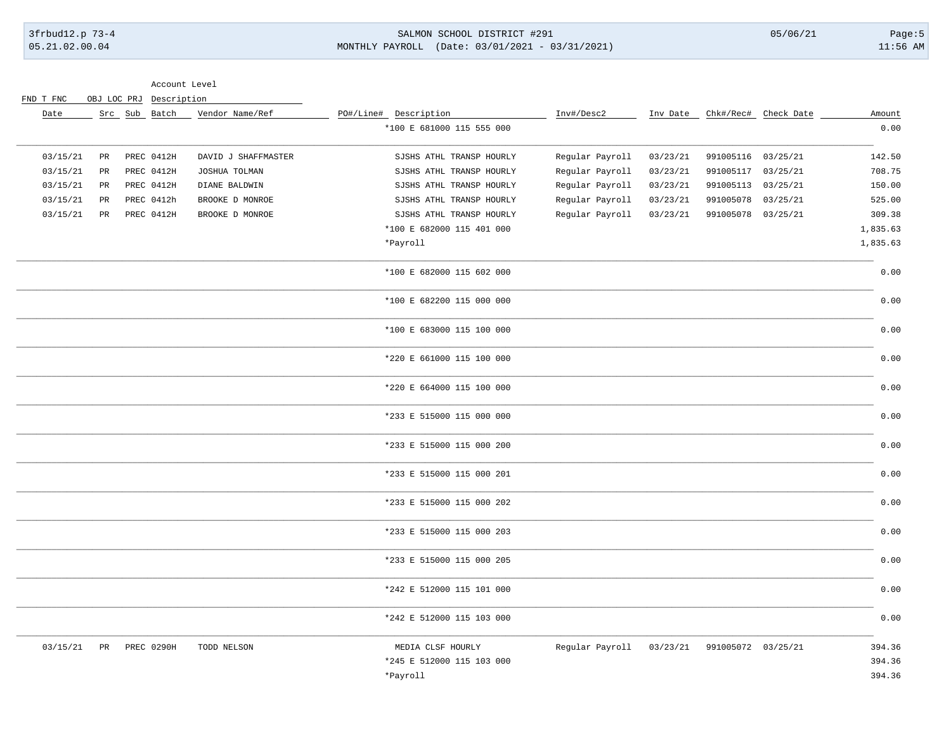#### SALMON SCHOOL DISTRICT #291 MONTHLY PAYROLL (Date: 03/01/2021 - 03/31/2021)

 $05/06/21$ 

Account Level

| FND T FNC |  | OBJ LOC PRJ Description |
|-----------|--|-------------------------|
|           |  |                         |

| Date     |                 | Src Sub Batch | Vendor Name/Ref     | PO#/Line# Description     | Inv#/Desc2      |          |                    | Inv Date Chk#/Rec# Check Date | Amount   |
|----------|-----------------|---------------|---------------------|---------------------------|-----------------|----------|--------------------|-------------------------------|----------|
|          |                 |               |                     | *100 E 681000 115 555 000 |                 |          |                    |                               | 0.00     |
| 03/15/21 | PR              | PREC 0412H    | DAVID J SHAFFMASTER | SJSHS ATHL TRANSP HOURLY  | Regular Payroll | 03/23/21 | 991005116          | 03/25/21                      | 142.50   |
| 03/15/21 | $\mbox{\sf PR}$ | PREC 0412H    | JOSHUA TOLMAN       | SJSHS ATHL TRANSP HOURLY  | Regular Payroll | 03/23/21 | 991005117          | 03/25/21                      | 708.75   |
| 03/15/21 | PR              | PREC 0412H    | DIANE BALDWIN       | SJSHS ATHL TRANSP HOURLY  | Regular Payroll | 03/23/21 | 991005113          | 03/25/21                      | 150.00   |
| 03/15/21 | $_{\rm PR}$     | PREC 0412h    | BROOKE D MONROE     | SJSHS ATHL TRANSP HOURLY  | Regular Payroll | 03/23/21 | 991005078          | 03/25/21                      | 525.00   |
| 03/15/21 | $_{\rm PR}$     | PREC 0412H    | BROOKE D MONROE     | SJSHS ATHL TRANSP HOURLY  | Regular Payroll | 03/23/21 | 991005078          | 03/25/21                      | 309.38   |
|          |                 |               |                     | *100 E 682000 115 401 000 |                 |          |                    |                               | 1,835.63 |
|          |                 |               |                     | *Payroll                  |                 |          |                    |                               | 1,835.63 |
|          |                 |               |                     | *100 E 682000 115 602 000 |                 |          |                    |                               | 0.00     |
|          |                 |               |                     | *100 E 682200 115 000 000 |                 |          |                    |                               | 0.00     |
|          |                 |               |                     | *100 E 683000 115 100 000 |                 |          |                    |                               | 0.00     |
|          |                 |               |                     | *220 E 661000 115 100 000 |                 |          |                    |                               | 0.00     |
|          |                 |               |                     | *220 E 664000 115 100 000 |                 |          |                    |                               | 0.00     |
|          |                 |               |                     | *233 E 515000 115 000 000 |                 |          |                    |                               | 0.00     |
|          |                 |               |                     | *233 E 515000 115 000 200 |                 |          |                    |                               | 0.00     |
|          |                 |               |                     | *233 E 515000 115 000 201 |                 |          |                    |                               | 0.00     |
|          |                 |               |                     | *233 E 515000 115 000 202 |                 |          |                    |                               | 0.00     |
|          |                 |               |                     | *233 E 515000 115 000 203 |                 |          |                    |                               | 0.00     |
|          |                 |               |                     | *233 E 515000 115 000 205 |                 |          |                    |                               | 0.00     |
|          |                 |               |                     | *242 E 512000 115 101 000 |                 |          |                    |                               | 0.00     |
|          |                 |               |                     | *242 E 512000 115 103 000 |                 |          |                    |                               | 0.00     |
| 03/15/21 | PR              | PREC 0290H    | TODD NELSON         | MEDIA CLSF HOURLY         | Regular Payroll | 03/23/21 | 991005072 03/25/21 |                               | 394.36   |
|          |                 |               |                     | *245 E 512000 115 103 000 |                 |          |                    |                               | 394.36   |
|          |                 |               |                     | *Payroll                  |                 |          |                    |                               | 394.36   |
|          |                 |               |                     |                           |                 |          |                    |                               |          |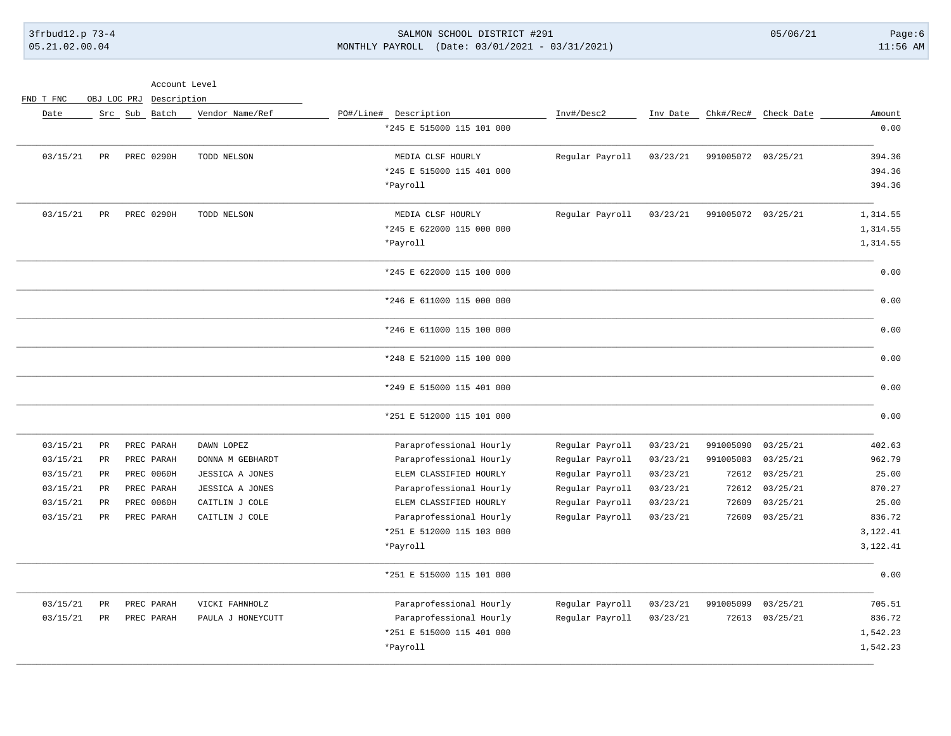## 3frbud12.p 73-4 SALMON SCHOOL DISTRICT #291 05/06/21 Page:6 05.21.02.00.04 MONTHLY PAYROLL (Date: 03/01/2021 - 03/31/2021) 11:56 AM

Account Level

FND T FNC OBJ LOC PRJ Description

| Amount   | Check Date     | Chk#/Rec#          | Inv Date | Inv#/Desc2      | PO#/Line# Description     | Vendor Name/Ref   | Src Sub Batch |                 | Date     |
|----------|----------------|--------------------|----------|-----------------|---------------------------|-------------------|---------------|-----------------|----------|
| 0.00     |                |                    |          |                 | *245 E 515000 115 101 000 |                   |               |                 |          |
| 394.36   |                | 991005072 03/25/21 | 03/23/21 | Regular Payroll | MEDIA CLSF HOURLY         | TODD NELSON       | PREC 0290H    | PR              | 03/15/21 |
| 394.36   |                |                    |          |                 | *245 E 515000 115 401 000 |                   |               |                 |          |
| 394.36   |                |                    |          |                 | *Payroll                  |                   |               |                 |          |
| 1,314.55 |                | 991005072 03/25/21 | 03/23/21 | Regular Payroll | MEDIA CLSF HOURLY         | TODD NELSON       | PREC 0290H    | PR              | 03/15/21 |
| 1,314.55 |                |                    |          |                 | *245 E 622000 115 000 000 |                   |               |                 |          |
| 1,314.55 |                |                    |          |                 | *Payroll                  |                   |               |                 |          |
| 0.00     |                |                    |          |                 | *245 E 622000 115 100 000 |                   |               |                 |          |
| 0.00     |                |                    |          |                 | *246 E 611000 115 000 000 |                   |               |                 |          |
| 0.00     |                |                    |          |                 | *246 E 611000 115 100 000 |                   |               |                 |          |
| 0.00     |                |                    |          |                 | *248 E 521000 115 100 000 |                   |               |                 |          |
| 0.00     |                |                    |          |                 | *249 E 515000 115 401 000 |                   |               |                 |          |
| 0.00     |                |                    |          |                 | *251 E 512000 115 101 000 |                   |               |                 |          |
| 402.63   | 03/25/21       | 991005090          | 03/23/21 | Regular Payroll | Paraprofessional Hourly   | DAWN LOPEZ        | PREC PARAH    | <b>PR</b>       | 03/15/21 |
| 962.79   | 03/25/21       | 991005083          | 03/23/21 | Regular Payroll | Paraprofessional Hourly   | DONNA M GEBHARDT  | PREC PARAH    | $\mbox{\sf PR}$ | 03/15/21 |
| 25.00    | 03/25/21       | 72612              | 03/23/21 | Regular Payroll | ELEM CLASSIFIED HOURLY    | JESSICA A JONES   | PREC 0060H    | $_{\rm PR}$     | 03/15/21 |
| 870.27   | 03/25/21       | 72612              | 03/23/21 | Regular Payroll | Paraprofessional Hourly   | JESSICA A JONES   | PREC PARAH    | PR              | 03/15/21 |
| 25.00    | 03/25/21       | 72609              | 03/23/21 | Regular Payroll | ELEM CLASSIFIED HOURLY    | CAITLIN J COLE    | PREC 0060H    | PR              | 03/15/21 |
| 836.72   | 03/25/21       | 72609              | 03/23/21 | Regular Payroll | Paraprofessional Hourly   | CAITLIN J COLE    | PREC PARAH    | PR              | 03/15/21 |
| 3,122.41 |                |                    |          |                 | *251 E 512000 115 103 000 |                   |               |                 |          |
| 3,122.41 |                |                    |          |                 | *Payroll                  |                   |               |                 |          |
| 0.00     |                |                    |          |                 | *251 E 515000 115 101 000 |                   |               |                 |          |
| 705.51   | 03/25/21       | 991005099          | 03/23/21 | Regular Payroll | Paraprofessional Hourly   | VICKI FAHNHOLZ    | PREC PARAH    | $_{\rm PR}$     | 03/15/21 |
| 836.72   | 72613 03/25/21 |                    | 03/23/21 | Regular Payroll | Paraprofessional Hourly   | PAULA J HONEYCUTT | PREC PARAH    | PR              | 03/15/21 |
| 1,542.23 |                |                    |          |                 | *251 E 515000 115 401 000 |                   |               |                 |          |
| 1,542.23 |                |                    |          |                 | *Payroll                  |                   |               |                 |          |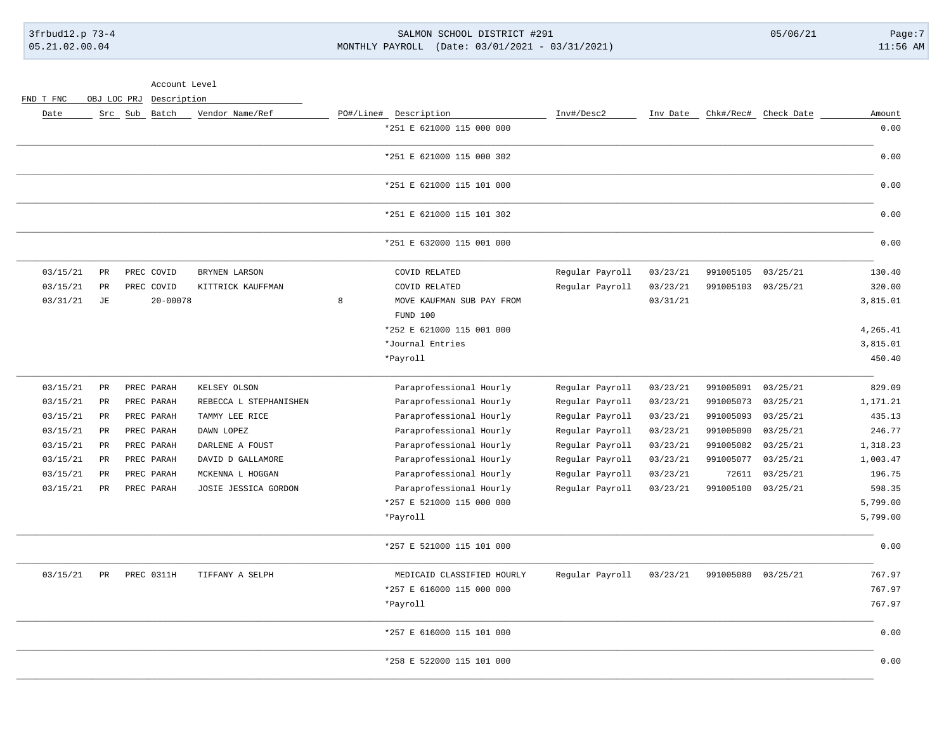## 3frbud12.p 73-4 SALMON SCHOOL DISTRICT #291 05/06/21 Page:7 05.21.02.00.04 MONTHLY PAYROLL (Date: 03/01/2021 - 03/31/2021) 11:56 AM

Account Level

FND T FNC OBJ LOC PRJ Description

| Amount<br>0.00 | Chk#/Rec# Check Date |           | Inv Date | Inv#/Desc2      | PO#/Line# Description<br>*251 E 621000 115 000 000 |   | Vendor Name/Ref        |              | Src Sub Batch |             | Date     |
|----------------|----------------------|-----------|----------|-----------------|----------------------------------------------------|---|------------------------|--------------|---------------|-------------|----------|
| 0.00           |                      |           |          |                 | *251 E 621000 115 000 302                          |   |                        |              |               |             |          |
| 0.00           |                      |           |          |                 | *251 E 621000 115 101 000                          |   |                        |              |               |             |          |
| 0.00           |                      |           |          |                 | *251 E 621000 115 101 302                          |   |                        |              |               |             |          |
| 0.00           |                      |           |          |                 | *251 E 632000 115 001 000                          |   |                        |              |               |             |          |
| 130.40         | 03/25/21             | 991005105 | 03/23/21 | Regular Payroll | COVID RELATED                                      |   | BRYNEN LARSON          | PREC COVID   |               | $_{\rm PR}$ | 03/15/21 |
| 320.00         | 03/25/21             | 991005103 | 03/23/21 | Regular Payroll | COVID RELATED                                      |   | KITTRICK KAUFFMAN      | PREC COVID   |               | PR          | 03/15/21 |
| 3,815.01       |                      |           | 03/31/21 |                 | MOVE KAUFMAN SUB PAY FROM                          | 8 |                        | $20 - 00078$ |               | $\rm{JE}$   | 03/31/21 |
|                |                      |           |          |                 | FUND 100                                           |   |                        |              |               |             |          |
| 4,265.41       |                      |           |          |                 | *252 E 621000 115 001 000                          |   |                        |              |               |             |          |
| 3,815.01       |                      |           |          |                 | *Journal Entries                                   |   |                        |              |               |             |          |
| 450.40         |                      |           |          |                 | *Payroll                                           |   |                        |              |               |             |          |
| 829.09         | 03/25/21             | 991005091 | 03/23/21 | Regular Payroll | Paraprofessional Hourly                            |   | KELSEY OLSON           | PREC PARAH   |               | PR          | 03/15/21 |
| 1,171.21       | 03/25/21             | 991005073 | 03/23/21 | Regular Payroll | Paraprofessional Hourly                            |   | REBECCA L STEPHANISHEN | PREC PARAH   |               | PR          | 03/15/21 |
| 435.13         | 03/25/21             | 991005093 | 03/23/21 | Regular Payroll | Paraprofessional Hourly                            |   | TAMMY LEE RICE         | PREC PARAH   |               | PR          | 03/15/21 |
| 246.77         | 03/25/21             | 991005090 | 03/23/21 | Regular Payroll | Paraprofessional Hourly                            |   | DAWN LOPEZ             | PREC PARAH   |               | PR          | 03/15/21 |
| 1,318.23       | 03/25/21             | 991005082 | 03/23/21 | Regular Payroll | Paraprofessional Hourly                            |   | DARLENE A FOUST        | PREC PARAH   |               | PR          | 03/15/21 |
| 1,003.47       | 03/25/21             | 991005077 | 03/23/21 | Regular Payroll | Paraprofessional Hourly                            |   | DAVID D GALLAMORE      | PREC PARAH   |               | PR          | 03/15/21 |
| 196.75         | 03/25/21             | 72611     | 03/23/21 | Regular Payroll | Paraprofessional Hourly                            |   | MCKENNA L HOGGAN       | PREC PARAH   |               | $_{\rm PR}$ | 03/15/21 |
| 598.35         | 03/25/21             | 991005100 | 03/23/21 | Regular Payroll | Paraprofessional Hourly                            |   | JOSIE JESSICA GORDON   | PREC PARAH   |               | PR          | 03/15/21 |
| 5,799.00       |                      |           |          |                 | *257 E 521000 115 000 000                          |   |                        |              |               |             |          |
| 5,799.00       |                      |           |          |                 | *Payroll                                           |   |                        |              |               |             |          |
| 0.00           |                      |           |          |                 | *257 E 521000 115 101 000                          |   |                        |              |               |             |          |
| 767.97         | 03/25/21             | 991005080 | 03/23/21 | Regular Payroll | MEDICAID CLASSIFIED HOURLY                         |   | TIFFANY A SELPH        | PREC 0311H   |               | PR          | 03/15/21 |
| 767.97         |                      |           |          |                 | *257 E 616000 115 000 000                          |   |                        |              |               |             |          |
| 767.97         |                      |           |          |                 | *Payroll                                           |   |                        |              |               |             |          |
| 0.00           |                      |           |          |                 | *257 E 616000 115 101 000                          |   |                        |              |               |             |          |
| 0.00           |                      |           |          |                 | *258 E 522000 115 101 000                          |   |                        |              |               |             |          |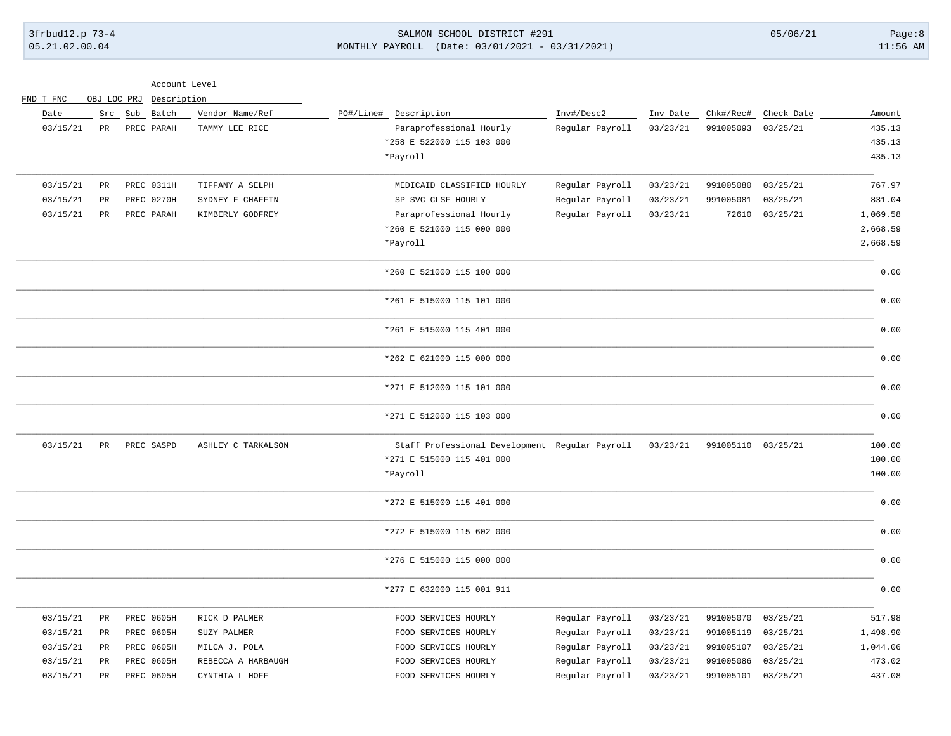### 3frbud12.p 73-4 SALMON SCHOOL DISTRICT #291 05/06/21 Page:8 05.21.02.00.04 MONTHLY PAYROLL (Date: 03/01/2021 - 03/31/2021) 11:56 AM

Account Level

| FND T FNC | OBJ LOC PRJ     |  | Description       |                    |           |                                                |                 |          |                    |            |          |
|-----------|-----------------|--|-------------------|--------------------|-----------|------------------------------------------------|-----------------|----------|--------------------|------------|----------|
| Date      |                 |  | Src Sub Batch     | Vendor Name/Ref    | PO#/Line# | Description                                    | Inv#/Desc2      | Inv Date | Chk#/Rec#          | Check Date | Amount   |
| 03/15/21  | $_{\rm PR}$     |  | PREC PARAH        | TAMMY LEE RICE     |           | Paraprofessional Hourly                        | Regular Payroll | 03/23/21 | 991005093 03/25/21 |            | 435.13   |
|           |                 |  |                   |                    |           | *258 E 522000 115 103 000                      |                 |          |                    |            | 435.13   |
|           |                 |  |                   |                    |           | *Payroll                                       |                 |          |                    |            | 435.13   |
| 03/15/21  | $_{\rm PR}$     |  | PREC 0311H        | TIFFANY A SELPH    |           | MEDICAID CLASSIFIED HOURLY                     | Regular Payroll | 03/23/21 | 991005080          | 03/25/21   | 767.97   |
| 03/15/21  | $\mbox{\sf PR}$ |  | PREC 0270H        | SYDNEY F CHAFFIN   |           | SP SVC CLSF HOURLY                             | Regular Payroll | 03/23/21 | 991005081          | 03/25/21   | 831.04   |
| 03/15/21  | $_{\rm PR}$     |  | PREC PARAH        | KIMBERLY GODFREY   |           | Paraprofessional Hourly                        | Regular Payroll | 03/23/21 | 72610              | 03/25/21   | 1,069.58 |
|           |                 |  |                   |                    |           | *260 E 521000 115 000 000                      |                 |          |                    |            | 2,668.59 |
|           |                 |  |                   |                    |           | *Payroll                                       |                 |          |                    |            | 2,668.59 |
|           |                 |  |                   |                    |           | *260 E 521000 115 100 000                      |                 |          |                    |            | 0.00     |
|           |                 |  |                   |                    |           | *261 E 515000 115 101 000                      |                 |          |                    |            | 0.00     |
|           |                 |  |                   |                    |           | *261 E 515000 115 401 000                      |                 |          |                    |            | 0.00     |
|           |                 |  |                   |                    |           | *262 E 621000 115 000 000                      |                 |          |                    |            | 0.00     |
|           |                 |  |                   |                    |           | *271 E 512000 115 101 000                      |                 |          |                    |            | 0.00     |
|           |                 |  |                   |                    |           | *271 E 512000 115 103 000                      |                 |          |                    |            | 0.00     |
| 03/15/21  | PR              |  | PREC SASPD        | ASHLEY C TARKALSON |           | Staff Professional Development Regular Payroll |                 | 03/23/21 | 991005110 03/25/21 |            | 100.00   |
|           |                 |  |                   |                    |           | *271 E 515000 115 401 000                      |                 |          |                    |            | 100.00   |
|           |                 |  |                   |                    |           | *Payroll                                       |                 |          |                    |            | 100.00   |
|           |                 |  |                   |                    |           | *272 E 515000 115 401 000                      |                 |          |                    |            | 0.00     |
|           |                 |  |                   |                    |           | *272 E 515000 115 602 000                      |                 |          |                    |            | 0.00     |
|           |                 |  |                   |                    |           | *276 E 515000 115 000 000                      |                 |          |                    |            | 0.00     |
|           |                 |  |                   |                    |           | *277 E 632000 115 001 911                      |                 |          |                    |            | 0.00     |
| 03/15/21  | PR              |  | PREC 0605H        | RICK D PALMER      |           | FOOD SERVICES HOURLY                           | Regular Payroll | 03/23/21 | 991005070          | 03/25/21   | 517.98   |
| 03/15/21  | PR              |  | <b>PREC 0605H</b> | SUZY PALMER        |           | FOOD SERVICES HOURLY                           | Regular Payroll | 03/23/21 | 991005119          | 03/25/21   | 1,498.90 |
| 03/15/21  | PR              |  | PREC 0605H        | MILCA J. POLA      |           | FOOD SERVICES HOURLY                           | Regular Payroll | 03/23/21 | 991005107          | 03/25/21   | 1,044.06 |
| 03/15/21  | PR              |  | <b>PREC 0605H</b> | REBECCA A HARBAUGH |           | FOOD SERVICES HOURLY                           | Regular Payroll | 03/23/21 | 991005086          | 03/25/21   | 473.02   |
| 03/15/21  | $_{\rm PR}$     |  | PREC 0605H        | CYNTHIA L HOFF     |           | FOOD SERVICES HOURLY                           | Regular Payroll | 03/23/21 | 991005101 03/25/21 |            | 437.08   |